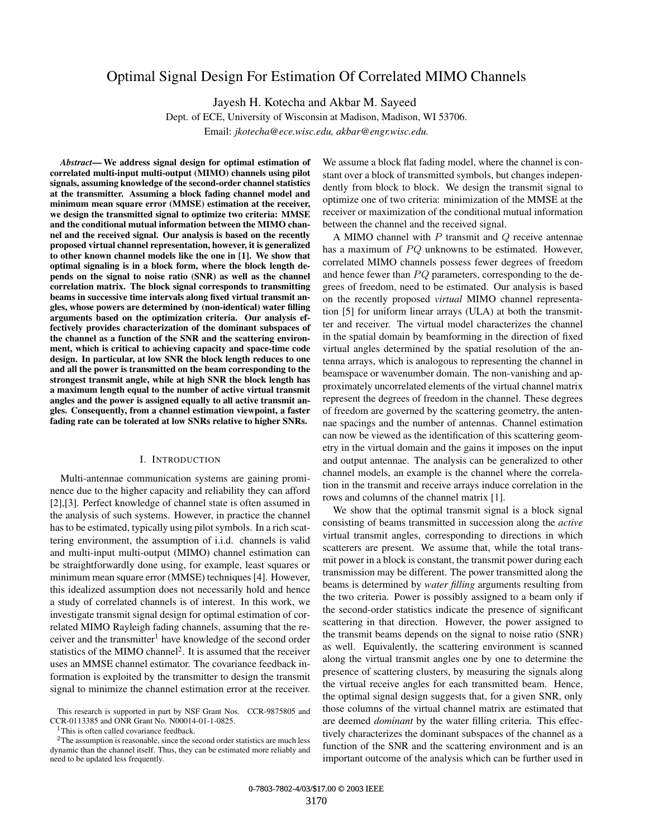# Optimal Signal Design For Estimation Of Correlated MIMO Channels

Jayesh H. Kotecha and Akbar M. Sayeed

Dept. of ECE, University of Wisconsin at Madison, Madison, WI 53706.

Email: *jkotecha@ece.wisc.edu, akbar@engr.wisc.edu.*

*Abstract***— We address signal design for optimal estimation of correlated multi-input multi-output (MIMO) channels using pilot signals, assuming knowledge of the second-order channel statistics at the transmitter. Assuming a block fading channel model and minimum mean square error (MMSE) estimation at the receiver, we design the transmitted signal to optimize two criteria: MMSE and the conditional mutual information between the MIMO channel and the received signal. Our analysis is based on the recently proposed virtual channel representation, however, it is generalized to other known channel models like the one in [1]. We show that optimal signaling is in a block form, where the block length depends on the signal to noise ratio (SNR) as well as the channel correlation matrix. The block signal corresponds to transmitting beams in successive time intervals along fixed virtual transmit angles, whose powers are determined by (non-identical) water filling arguments based on the optimization criteria. Our analysis effectively provides characterization of the dominant subspaces of the channel as a function of the SNR and the scattering environment, which is critical to achieving capacity and space-time code design. In particular, at low SNR the block length reduces to one and all the power is transmitted on the beam corresponding to the strongest transmit angle, while at high SNR the block length has a maximum length equal to the number of active virtual transmit angles and the power is assigned equally to all active transmit angles. Consequently, from a channel estimation viewpoint, a faster fading rate can be tolerated at low SNRs relative to higher SNRs.**

## I. INTRODUCTION

Multi-antennae communication systems are gaining prominence due to the higher capacity and reliability they can afford [2],[3]. Perfect knowledge of channel state is often assumed in the analysis of such systems. However, in practice the channel has to be estimated, typically using pilot symbols. In a rich scattering environment, the assumption of i.i.d. channels is valid and multi-input multi-output (MIMO) channel estimation can be straightforwardly done using, for example, least squares or minimum mean square error (MMSE) techniques [4]. However, this idealized assumption does not necessarily hold and hence a study of correlated channels is of interest. In this work, we investigate transmit signal design for optimal estimation of correlated MIMO Rayleigh fading channels, assuming that the receiver and the transmitter<sup>1</sup> have knowledge of the second order statistics of the MIMO channel<sup>2</sup>. It is assumed that the receiver uses an MMSE channel estimator. The covariance feedback information is exploited by the transmitter to design the transmit signal to minimize the channel estimation error at the receiver.

<sup>1</sup>This is often called covariance feedback.

 $2$ The assumption is reasonable, since the second order statistics are much less dynamic than the channel itself. Thus, they can be estimated more reliably and need to be updated less frequently.

We assume a block flat fading model, where the channel is constant over a block of transmitted symbols, but changes independently from block to block. We design the transmit signal to optimize one of two criteria: minimization of the MMSE at the receiver or maximization of the conditional mutual information between the channel and the received signal.

A MIMO channel with *P* transmit and *Q* receive antennae has a maximum of PQ unknowns to be estimated. However, correlated MIMO channels possess fewer degrees of freedom and hence fewer than *PQ* parameters, corresponding to the degrees of freedom, need to be estimated. Our analysis is based on the recently proposed *virtual* MIMO channel representation [5] for uniform linear arrays (ULA) at both the transmitter and receiver. The virtual model characterizes the channel in the spatial domain by beamforming in the direction of fixed virtual angles determined by the spatial resolution of the antenna arrays, which is analogous to representing the channel in beamspace or wavenumber domain. The non-vanishing and approximately uncorrelated elements of the virtual channel matrix represent the degrees of freedom in the channel. These degrees of freedom are governed by the scattering geometry, the antennae spacings and the number of antennas. Channel estimation can now be viewed as the identification of this scattering geometry in the virtual domain and the gains it imposes on the input and output antennae. The analysis can be generalized to other channel models, an example is the channel where the correlation in the transmit and receive arrays induce correlation in the rows and columns of the channel matrix [1].

We show that the optimal transmit signal is a block signal consisting of beams transmitted in succession along the *active* virtual transmit angles, corresponding to directions in which scatterers are present. We assume that, while the total transmit power in a block is constant, the transmit power during each transmission may be different. The power transmitted along the beams is determined by *water filling* arguments resulting from the two criteria. Power is possibly assigned to a beam only if the second-order statistics indicate the presence of significant scattering in that direction. However, the power assigned to the transmit beams depends on the signal to noise ratio (SNR) as well. Equivalently, the scattering environment is scanned along the virtual transmit angles one by one to determine the presence of scattering clusters, by measuring the signals along the virtual receive angles for each transmitted beam. Hence, the optimal signal design suggests that, for a given SNR, only those columns of the virtual channel matrix are estimated that are deemed *dominant* by the water filling criteria. This effectively characterizes the dominant subspaces of the channel as a function of the SNR and the scattering environment and is an important outcome of the analysis which can be further used in

This research is supported in part by NSF Grant Nos. CCR-9875805 and CCR-0113385 and ONR Grant No. N00014-01-1-0825.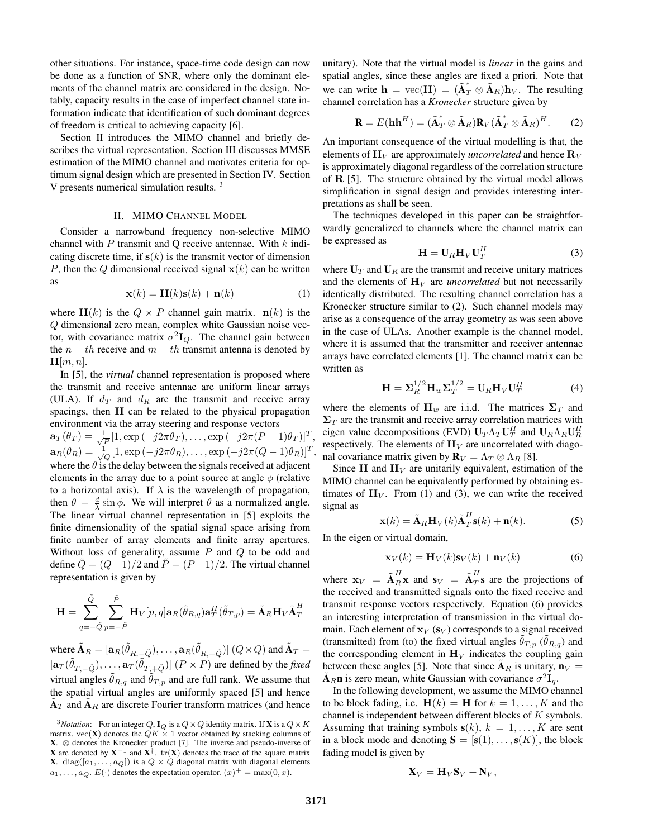other situations. For instance, space-time code design can now be done as a function of SNR, where only the dominant elements of the channel matrix are considered in the design. Notably, capacity results in the case of imperfect channel state information indicate that identification of such dominant degrees of freedom is critical to achieving capacity [6].

Section II introduces the MIMO channel and briefly describes the virtual representation. Section III discusses MMSE estimation of the MIMO channel and motivates criteria for optimum signal design which are presented in Section IV. Section V presents numerical simulation results.<sup>3</sup>

## II. MIMO CHANNEL MODEL

Consider a narrowband frequency non-selective MIMO channel with *P* transmit and Q receive antennae. With *k* indicating discrete time, if  $s(k)$  is the transmit vector of dimension *P*, then the *Q* dimensional received signal  $\mathbf{x}(k)$  can be written as

$$
\mathbf{x}(k) = \mathbf{H}(k)\mathbf{s}(k) + \mathbf{n}(k) \tag{1}
$$

where  $H(k)$  is the  $Q \times P$  channel gain matrix.  $n(k)$  is the *Q* dimensional zero mean, complex white Gaussian noise vector, with covariance matrix  $\sigma^2 I_Q$ . The channel gain between the  $n - th$  receive and  $m - th$  transmit antenna is denoted by  $H[m, n]$ .

In [5], the *virtual* channel representation is proposed where the transmit and receive antennae are uniform linear arrays (ULA). If  $d_T$  and  $d_R$  are the transmit and receive array spacings, then H can be related to the physical propagation environment via the array steering and response vectors

 $\mathbf{a}_T(\theta_T) = \frac{1}{\sqrt{P}}[1, \exp(-j2\pi\theta_T), \dots, \exp(-j2\pi(P-1)\theta_T)]^T$  $\mathbf{a}_R(\theta_R) = \frac{1}{\sqrt{Q}} [1, \exp(-j2\pi\theta_R), \dots, \exp(-j2\pi(Q-1)\theta_R)]^T$ where the  $\theta$  is the delay between the signals received at adjacent elements in the array due to a point source at angle  $\phi$  (relative to a horizontal axis). If  $\lambda$  is the wavelength of propagation, then  $\theta = \frac{d}{\lambda} \sin \phi$ . We will interpret  $\theta$  as a normalized angle. The linear virtual channel representation in [5] exploits the finite dimensionality of the spatial signal space arising from finite number of array elements and finite array apertures. Without loss of generality, assume *P* and *Q* to be odd and define  $\tilde{Q} = (Q-1)/2$  and  $\tilde{P} = (P-1)/2$ . The virtual channel representation is given by

$$
\mathbf{H} = \sum_{q=-\tilde{Q}}^{\tilde{Q}} \sum_{p=-\tilde{P}}^{\tilde{P}} \mathbf{H}_{V}[p,q] \mathbf{a}_{R}(\tilde{\theta}_{R,q}) \mathbf{a}_{T}^{H}(\tilde{\theta}_{T,p}) = \tilde{\mathbf{A}}_{R} \mathbf{H}_{V} \tilde{\mathbf{A}}_{T}^{H}
$$

where  $\tilde{\mathbf{A}}_R=[\mathbf{a}_R(\tilde{\theta}_{R,-\tilde{Q}}),\ldots,\mathbf{a}_R(\tilde{\theta}_{R,+ \tilde{Q}})]$   $(Q\times Q)$  and  $\tilde{\mathbf{A}}_T=$  $[\mathbf{a}_T(\tilde{\theta}_{T,-\tilde{Q}}), \ldots, \mathbf{a}_T(\tilde{\theta}_{T,+ \tilde{Q}})]$   $(P \times P)$  are defined by the *fixed* virtual angles  $\tilde{\theta}_{R,q}$  and  $\tilde{\theta}_{T,p}$  and are full rank. We assume that the spatial virtual angles are uniformly spaced [5] and hence  $A_T$  and  $A_R$  are discrete Fourier transform matrices (and hence

unitary). Note that the virtual model is *linear* in the gains and spatial angles, since these angles are fixed a priori. Note that we can write  $\mathbf{h} = \text{vec}(\mathbf{H}) = (\tilde{\mathbf{A}}_T^* \otimes \tilde{\mathbf{A}}_R)\mathbf{h}_V$ . The resulting channel correlation has a *Kronecker* structure given by

$$
\mathbf{R} = E(\mathbf{h}\mathbf{h}^H) = (\tilde{\mathbf{A}}_T^* \otimes \tilde{\mathbf{A}}_R) \mathbf{R}_V (\tilde{\mathbf{A}}_T^* \otimes \tilde{\mathbf{A}}_R)^H.
$$
 (2)

An important consequence of the virtual modelling is that, the elements of  $\mathbf{H}_V$  are approximately *uncorrelated* and hence  $\mathbf{R}_V$ is approximately diagonal regardless of the correlation structure of R [5]. The structure obtained by the virtual model allows simplification in signal design and provides interesting interpretations as shall be seen.

The techniques developed in this paper can be straightforwardly generalized to channels where the channel matrix can be expressed as

$$
\mathbf{H} = \mathbf{U}_R \mathbf{H}_V \mathbf{U}_T^H \tag{3}
$$

where  $U_T$  and  $U_R$  are the transmit and receive unitary matrices and the elements of  $H_V$  are *uncorrelated* but not necessarily identically distributed. The resulting channel correlation has a Kronecker structure similar to (2). Such channel models may arise as a consequence of the array geometry as was seen above in the case of ULAs. Another example is the channel model, where it is assumed that the transmitter and receiver antennae arrays have correlated elements [1]. The channel matrix can be written as

$$
\mathbf{H} = \Sigma_R^{1/2} \mathbf{H}_w \Sigma_T^{1/2} = \mathbf{U}_R \mathbf{H}_V \mathbf{U}_T^H
$$
 (4)

where the elements of  $H_w$  are i.i.d. The matrices  $\Sigma_T$  and  $\Sigma_T$  are the transmit and receive array correlation matrices with eigen value decompositions (EVD)  $U_T \Lambda_T U_T^H$  and  $U_R \Lambda_R U_R^H$ respectively. The elements of  $\mathbf{H}_V$  are uncorrelated with diagonal covariance matrix given by  $\mathbf{R}_V = \Lambda_T \otimes \Lambda_R$  [8].

Since H and  $H_V$  are unitarily equivalent, estimation of the MIMO channel can be equivalently performed by obtaining estimates of  $H_V$ . From (1) and (3), we can write the received signal as

$$
\mathbf{x}(k) = \tilde{\mathbf{A}}_R \mathbf{H}_V(k) \tilde{\mathbf{A}}_T^H \mathbf{s}(k) + \mathbf{n}(k).
$$
 (5)

In the eigen or virtual domain,

$$
\mathbf{x}_V(k) = \mathbf{H}_V(k)\mathbf{s}_V(k) + \mathbf{n}_V(k) \tag{6}
$$

where  $\mathbf{x}_V = \tilde{\mathbf{A}}_R^H \mathbf{x}$  and  $\mathbf{s}_V = \tilde{\mathbf{A}}_T^H \mathbf{s}$  are the projections of the received and transmitted signals onto the fixed receive and transmit response vectors respectively. Equation (6) provides an interesting interpretation of transmission in the virtual domain. Each element of  $\mathbf{x}_V$  ( $\mathbf{s}_V$ ) corresponds to a signal received (transmitted) from (to) the fixed virtual angles  $\theta_{T,p}$  ( $\theta_{R,q}$ ) and the corresponding element in  $H_V$  indicates the coupling gain between these angles [5]. Note that since  $A_R$  is unitary,  $n_V =$  $A_R$ **n** is zero mean, white Gaussian with covariance  $\sigma^2 I_q$ .

In the following development, we assume the MIMO channel to be block fading, i.e.  $H(k) = H$  for  $k = 1, \ldots, K$  and the channel is independent between different blocks of *K* symbols. Assuming that training symbols  $s(k)$ ,  $k = 1, \ldots, K$  are sent in a block mode and denoting  $S = [s(1), \ldots, s(K)]$ , the block fading model is given by

$$
\mathbf{X}_V = \mathbf{H}_V \mathbf{S}_V + \mathbf{N}_V,
$$

<sup>&</sup>lt;sup>3</sup>*Notation*: For an integer *Q*, **I**<sub>*Q*</sub> is a  $Q \times Q$  identity matrix. If **X** is a  $Q \times K$ matrix,  $\text{vec}(\mathbf{X})$  denotes the  $QK \times 1$  vector obtained by stacking columns of **X**.  $\otimes$  denotes the Kronecker product [7]. The inverse and pseudo-inverse of **X** are denoted by **X**<sup>−1</sup> and **X**<sup>†</sup>. tr(**X**) denotes the trace of the square matrix **X**. diag( $[a_1, \ldots, a_Q]$ ) is a  $Q \times Q$  diagonal matrix with diagonal elements  $a_1, \ldots, a_Q$ .  $E(\cdot)$  denotes the expectation operator.  $(x)^+ = \max(0, x)$ .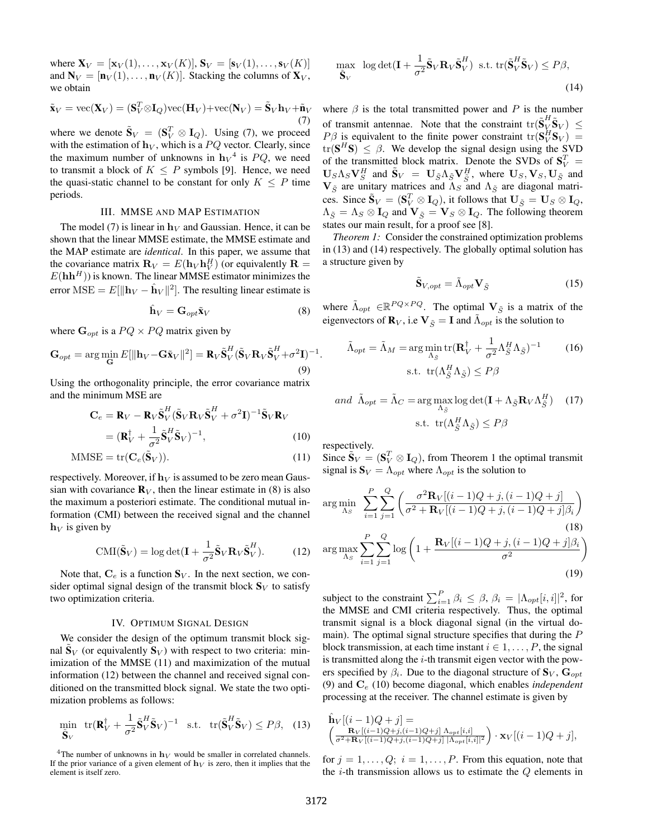where  $X_V = [x_V(1), ..., x_V(K)], S_V = [s_V(1), ..., s_V(K)]$ and  $N_V = [\mathbf{n}_V(1), \dots, \mathbf{n}_V(K)]$ . Stacking the columns of  $\mathbf{X}_V$ , we obtain

$$
\tilde{\mathbf{x}}_V = \text{vec}(\mathbf{X}_V) = (\mathbf{S}_V^T \otimes \mathbf{I}_Q) \text{vec}(\mathbf{H}_V) + \text{vec}(\mathbf{N}_V) = \tilde{\mathbf{S}}_V \mathbf{h}_V + \tilde{\mathbf{n}}_V
$$
\n(7)

where we denote  $\tilde{\mathbf{S}}_V = (\mathbf{S}_V^T \otimes \mathbf{I}_Q)$ . Using (7), we proceed with the estimation of  $h_V$ , which is a  $PQ$  vector. Clearly, since the maximum number of unknowns in  $h_V^4$  is  $PQ$ , we need to transmit a block of  $K \leq P$  symbols [9]. Hence, we need the quasi-static channel to be constant for only  $K \leq P$  time periods.

### III. MMSE AND MAP ESTIMATION

The model (7) is linear in  $h_V$  and Gaussian. Hence, it can be shown that the linear MMSE estimate, the MMSE estimate and the MAP estimate are *identical*. In this paper, we assume that the covariance matrix  $\mathbf{R}_V = E(\mathbf{h}_V \mathbf{h}_V^H)$  (or equivalently  $\mathbf{R} =$  $E(\mathbf{h}\mathbf{h}^H)$ ) is known. The linear MMSE estimator minimizes the error MSE =  $E[\|\mathbf{h}_V - \hat{\mathbf{h}}_V\|^2]$ . The resulting linear estimate is

$$
\hat{\mathbf{h}}_V = \mathbf{G}_{opt} \tilde{\mathbf{x}}_V \tag{8}
$$

where  $\mathbf{G}_{opt}$  is a  $PQ \times PQ$  matrix given by

$$
\mathbf{G}_{opt} = \arg\min_{\mathbf{G}} E[\|\mathbf{h}_V - \mathbf{G}\tilde{\mathbf{x}}_V\|^2] = \mathbf{R}_V \tilde{\mathbf{S}}_V^H (\tilde{\mathbf{S}}_V \mathbf{R}_V \tilde{\mathbf{S}}_V^H + \sigma^2 \mathbf{I})^{-1}.
$$
\n(9)

Using the orthogonality principle, the error covariance matrix and the minimum MSE are

$$
\mathbf{C}_e = \mathbf{R}_V - \mathbf{R}_V \tilde{\mathbf{S}}_V^H (\tilde{\mathbf{S}}_V \mathbf{R}_V \tilde{\mathbf{S}}_V^H + \sigma^2 \mathbf{I})^{-1} \tilde{\mathbf{S}}_V \mathbf{R}_V = (\mathbf{R}_V^{\dagger} + \frac{1}{\sigma^2} \tilde{\mathbf{S}}_V^H \tilde{\mathbf{S}}_V)^{-1},
$$
(10)

$$
MMSE = \text{tr}(\mathbf{C}_e(\tilde{\mathbf{S}}_V)).
$$
\n(11)

respectively. Moreover, if  $h_V$  is assumed to be zero mean Gaussian with covariance  $\mathbf{R}_V$ , then the linear estimate in (8) is also the maximum a posteriori estimate. The conditional mutual information (CMI) between the received signal and the channel  $h_V$  is given by

$$
\text{CMI}(\tilde{\mathbf{S}}_V) = \log \det(\mathbf{I} + \frac{1}{\sigma^2} \tilde{\mathbf{S}}_V \mathbf{R}_V \tilde{\mathbf{S}}_V^H).
$$
 (12)

Note that,  $C_e$  is a function  $S_V$ . In the next section, we consider optimal signal design of the transmit block  $S_V$  to satisfy two optimization criteria.

## IV. OPTIMUM SIGNAL DESIGN

We consider the design of the optimum transmit block signal  $\mathbf{S}_V$  (or equivalently  $\mathbf{S}_V$ ) with respect to two criteria: minimization of the MMSE (11) and maximization of the mutual information (12) between the channel and received signal conditioned on the transmitted block signal. We state the two optimization problems as follows:

$$
\min_{\tilde{\mathbf{S}}_V} \text{ tr}(\mathbf{R}_V^{\dagger} + \frac{1}{\sigma^2} \tilde{\mathbf{S}}_V^H \tilde{\mathbf{S}}_V)^{-1} \quad \text{s.t.} \quad \text{tr}(\tilde{\mathbf{S}}_V^H \tilde{\mathbf{S}}_V) \le P\beta, \tag{13}
$$

$$
\max_{\tilde{\mathbf{S}}_V} \log \det(\mathbf{I} + \frac{1}{\sigma^2} \tilde{\mathbf{S}}_V \mathbf{R}_V \tilde{\mathbf{S}}_V^H) \text{ s.t. } \text{tr}(\tilde{\mathbf{S}}_V^H \tilde{\mathbf{S}}_V) \le P\beta,
$$
\n(14)

where  $\beta$  is the total transmitted power and  $P$  is the number of transmit antennae. Note that the constraint  $tr(\tilde{\mathbf{S}}_V^H \tilde{\mathbf{S}}_V) \leq$ *P* $\beta$  is equivalent to the finite power constraint  $tr(S_V^H S_V)$  =  $tr(S^H S) \leq \beta$ . We develop the signal design using the SVD of the transmitted block matrix. Denote the SVDs of  $S_V^T$  =  $\mathbf{U}_S \Lambda_S \mathbf{V}_S^H$  and  $\tilde{\mathbf{S}}_V = \mathbf{U}_{\tilde{S}} \Lambda_{\tilde{S}} \mathbf{V}_{\tilde{S}}^H$ , where  $\mathbf{U}_S, \mathbf{V}_S, \mathbf{U}_{\tilde{S}}$  and  $V_{\tilde{S}}$  are unitary matrices and  $\Lambda_S$ <sup>o</sup> and  $\Lambda_{\tilde{S}}$  are diagonal matrices. Since  $\tilde{\mathbf{S}}_V = (\mathbf{S}_V^T \otimes \mathbf{I}_Q)$ , it follows that  $\mathbf{U}_{\tilde{S}} = \mathbf{U}_S \otimes \mathbf{I}_Q$ ,  $\Lambda_{\tilde{S}} = \Lambda_S \otimes \mathbf{I}_Q$  and  $\mathbf{V}_{\tilde{S}} = \mathbf{V}_S \otimes \mathbf{I}_Q$ . The following theorem states our main result, for a proof see [8].

*Theorem 1:* Consider the constrained optimization problems in (13) and (14) respectively. The globally optimal solution has a structure given by

$$
\tilde{\mathbf{S}}_{V,opt} = \tilde{\Lambda}_{opt} \mathbf{V}_{\tilde{S}} \tag{15}
$$

where  $\tilde{\Lambda}_{opt} \in \mathbb{R}^{PQ \times PQ}$ . The optimal  $V_{\tilde{S}}$  is a matrix of the eigenvectors of  $\mathbf{R}_V$ , i.e  $\mathbf{V}_{\tilde{S}} = \mathbf{I}$  and  $\tilde{\Lambda}_{opt}$  is the solution to

$$
\tilde{\Lambda}_{opt} = \tilde{\Lambda}_M = \arg\min_{\Lambda_{\tilde{S}}} \text{tr}(\mathbf{R}_V^{\dagger} + \frac{1}{\sigma^2} \Lambda_{\tilde{S}}^H \Lambda_{\tilde{S}})^{-1}
$$
\n
$$
\text{s.t. } \text{tr}(\Lambda_{\tilde{S}}^H \Lambda_{\tilde{S}}) \le P\beta
$$
\n(16)

and 
$$
\tilde{\Lambda}_{opt} = \tilde{\Lambda}_C = \arg \max_{\Lambda_{\tilde{S}}} \log \det(\mathbf{I} + \Lambda_{\tilde{S}} \mathbf{R}_V \Lambda_{\tilde{S}}^H)
$$
 (17)  
s.t.  $\text{tr}(\Lambda_{\tilde{S}}^H \Lambda_{\tilde{S}}) \le P\beta$ 

respectively.

Since  $\tilde{\mathbf{S}}_V = (\mathbf{S}_V^T \otimes \mathbf{I}_Q)$ , from Theorem 1 the optimal transmit signal is  $S_V = \Lambda_{opt}$  where  $\Lambda_{opt}$  is the solution to

$$
\arg\min_{\Lambda_S} \sum_{i=1}^{P} \sum_{j=1}^{Q} \left( \frac{\sigma^2 \mathbf{R}_V[(i-1)Q+j,(i-1)Q+j]}{\sigma^2 + \mathbf{R}_V[(i-1)Q+j,(i-1)Q+j]\beta_i} \right)
$$
\n
$$
\arg\max_{\Lambda_S} \sum_{i=1}^{P} \sum_{j=1}^{Q} \log \left( 1 + \frac{\mathbf{R}_V[(i-1)Q+j,(i-1)Q+j]\beta_i}{\sigma^2} \right)
$$
\n(18)\n(19)

subject to the constraint  $\sum_{i=1}^{P} \beta_i \leq \beta$ ,  $\beta_i = |\Lambda_{opt}[i, i]|^2$ , for the MMSE and CMI criteria respectively. Thus, the optimal transmit signal is a block diagonal signal (in the virtual domain). The optimal signal structure specifies that during the *P* block transmission, at each time instant  $i \in 1, \ldots, P$ , the signal is transmitted along the *i*-th transmit eigen vector with the powers specified by  $\beta_i$ . Due to the diagonal structure of  $\mathbf{S}_V$ ,  $\mathbf{G}_{opt}$ (9) and C*<sup>e</sup>* (10) become diagonal, which enables *independent* processing at the receiver. The channel estimate is given by

$$
\hat{\mathbf{h}}_V[(i-1)Q+j] = \left(\frac{\mathbf{R}_V[(i-1)Q+j,(i-1)Q+j] \Lambda_{opt}[i,i]}{\sigma^2 + \mathbf{R}_V[(i-1)Q+j,(i-1)Q+j] \mid \Lambda_{opt}[i,i]|^2}\right) \cdot \mathbf{x}_V[(i-1)Q+j],
$$

for  $j = 1, \ldots, Q$ ;  $i = 1, \ldots, P$ . From this equation, note that the *i*-th transmission allows us to estimate the *Q* elements in

<sup>&</sup>lt;sup>4</sup>The number of unknowns in  $h_V$  would be smaller in correlated channels. If the prior variance of a given element of  $h_V$  is zero, then it implies that the element is itself zero.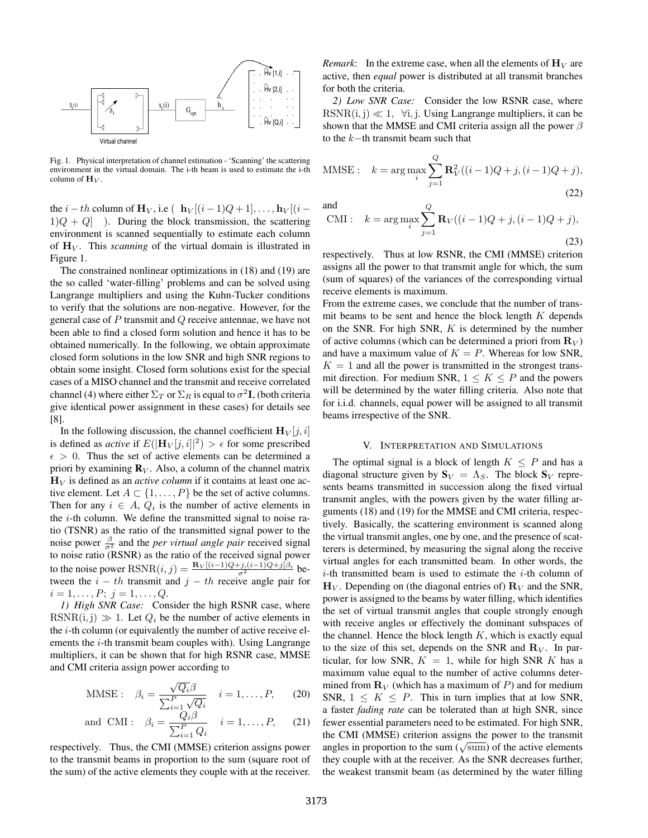

Fig. 1. Physical interpretation of channel estimation - 'Scanning' the scattering environment in the virtual domain. The i-th beam is used to estimate the i-th column of  $\mathbf{H}_V$ .

the *i* − *th* column of  $\mathbf{H}_V$ , i.e (  $\mathbf{h}_V[(i-1)Q+1], \ldots, \mathbf{h}_V[(i-1)Q+1]$  $1)Q + Q$ ] ). During the block transmission, the scattering environment is scanned sequentially to estimate each column of  $\mathbf{H}_{V}$ . This *scanning* of the virtual domain is illustrated in Figure 1.

The constrained nonlinear optimizations in (18) and (19) are the so called 'water-filling' problems and can be solved using Langrange multipliers and using the Kuhn-Tucker conditions to verify that the solutions are non-negative. However, for the general case of *P* transmit and *Q* receive antennae, we have not been able to find a closed form solution and hence it has to be obtained numerically. In the following, we obtain approximate closed form solutions in the low SNR and high SNR regions to obtain some insight. Closed form solutions exist for the special cases of a MISO channel and the transmit and receive correlated channel (4) where either  $\Sigma_T$  or  $\Sigma_R$  is equal to  $\sigma^2 \mathbf{I}$ , (both criteria give identical power assignment in these cases) for details see [8].

In the following discussion, the channel coefficient  $\mathbf{H}_V[i, i]$ is defined as *active* if  $E(|\mathbf{H}_V[j, i]|^2) > \epsilon$  for some prescribed  $\epsilon > 0$ . Thus the set of active elements can be determined a priori by examining  $\mathbf{R}_V$ . Also, a column of the channel matrix  $H_V$  is defined as an *active column* if it contains at least one active element. Let  $A \subset \{1, \ldots, P\}$  be the set of active columns. Then for any  $i \in A$ ,  $Q_i$  is the number of active elements in the *i*-th column. We define the transmitted signal to noise ratio (TSNR) as the ratio of the transmitted signal power to the noise power  $\frac{\beta}{\sigma^2}$  and the *per virtual angle pair* received signal to noise ratio (RSNR) as the ratio of the received signal power to the noise power  $\text{RSNR}(i, j) = \frac{\text{R}_V[(i-1)Q+j,(i-1)Q+j]\beta_i}{\sigma^2}$  between the  $i - th$  transmit and  $j - th$  receive angle pair for  $i = 1, \ldots, P; j = 1, \ldots, Q.$ 

*1) High SNR Case:* Consider the high RSNR case, where RSNR(i, j)  $\gg$  1. Let  $Q_i$  be the number of active elements in the *i*-th column (or equivalently the number of active receive elements the *i*-th transmit beam couples with). Using Langrange multipliers, it can be shown that for high RSNR case, MMSE and CMI criteria assign power according to

MMSE: 
$$
\beta_i = \frac{\sqrt{Q_i}\beta}{\sum_{i=1}^P \sqrt{Q_i}}
$$
  $i = 1, ..., P,$  (20)

and CMI: 
$$
\beta_i = \frac{Q_i \beta}{\sum_{i=1}^P Q_i} \quad i = 1, \dots, P, \qquad (21)
$$

respectively. Thus, the CMI (MMSE) criterion assigns power to the transmit beams in proportion to the sum (square root of the sum) of the active elements they couple with at the receiver. *Remark*: In the extreme case, when all the elements of  $\mathbf{H}_V$  are active, then *equal* power is distributed at all transmit branches for both the criteria.

*2) Low SNR Case:* Consider the low RSNR case, where RSNR(i, j)  $\ll 1$ ,  $\forall i$ , j. Using Langrange multipliers, it can be shown that the MMSE and CMI criteria assign all the power *β* to the *k−*th transmit beam such that

MMSE: 
$$
k = \arg \max_{i} \sum_{j=1}^{Q} \mathbf{R}_{V}^{2}((i-1)Q + j, (i-1)Q + j),
$$
 (22)

and  
CMI: 
$$
k = \arg \max_{i} \sum_{j=1}^{Q} \mathbf{R}_V((i-1)Q + j, (i-1)Q + j),
$$
 (23)

respectively. Thus at low RSNR, the CMI (MMSE) criterion assigns all the power to that transmit angle for which, the sum (sum of squares) of the variances of the corresponding virtual receive elements is maximum.

From the extreme cases, we conclude that the number of transmit beams to be sent and hence the block length *K* depends on the SNR. For high SNR, *K* is determined by the number of active columns (which can be determined a priori from  $\mathbf{R}_V$ ) and have a maximum value of  $K = P$ . Whereas for low SNR,  $K = 1$  and all the power is transmitted in the strongest transmit direction. For medium SNR,  $1 \leq K \leq P$  and the powers will be determined by the water filling criteria. Also note that for i.i.d. channels, equal power will be assigned to all transmit beams irrespective of the SNR.

### V. INTERPRETATION AND SIMULATIONS

The optimal signal is a block of length  $K \leq P$  and has a diagonal structure given by  $S_V = \Lambda_S$ . The block  $S_V$  represents beams transmitted in succession along the fixed virtual transmit angles, with the powers given by the water filling arguments (18) and (19) for the MMSE and CMI criteria, respectively. Basically, the scattering environment is scanned along the virtual transmit angles, one by one, and the presence of scatterers is determined, by measuring the signal along the receive virtual angles for each transmitted beam. In other words, the *i*-th transmitted beam is used to estimate the *i*-th column of  $H_V$ . Depending on (the diagonal entries of)  $R_V$  and the SNR, power is assigned to the beams by water filling, which identifies the set of virtual transmit angles that couple strongly enough with receive angles or effectively the dominant subspaces of the channel. Hence the block length  $K$ , which is exactly equal to the size of this set, depends on the SNR and  $\mathbf{R}_V$ . In particular, for low SNR,  $K = 1$ , while for high SNR  $K$  has a maximum value equal to the number of active columns determined from  $\mathbf{R}_V$  (which has a maximum of *P*) and for medium SNR,  $1 \leq K \leq P$ . This in turn implies that at low SNR, a faster *fading rate* can be tolerated than at high SNR, since fewer essential parameters need to be estimated. For high SNR, the CMI (MMSE) criterion assigns the power to the transmit angles in proportion to the sum  $(\sqrt{\text{sum}})$  of the active elements they couple with at the receiver. As the SNR decreases further, the weakest transmit beam (as determined by the water filling